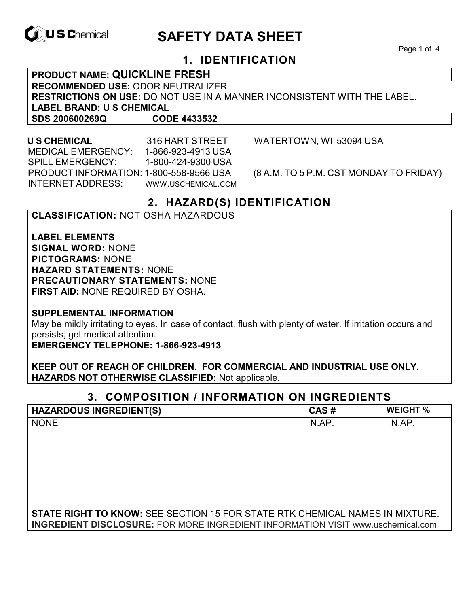

# **ID, U S Chemical CALL SAFETY DATA SHEET**

Page 1 of 4

# **1. IDENTIFICATION**

**PRODUCT NAME: QUICKLINE FRESH RECOMMENDED USE:** ODOR NEUTRALIZER **RESTRICTIONS ON USE:** DO NOT USE IN A MANNER INCONSISTENT WITH THE LABEL. **LABEL BRAND: U S CHEMICAL SDS 200600269Q CODE 4433532**

 MEDICAL EMERGENCY: 1-866-923-4913 USA SPILL EMERGENCY: 1-800-424-9300 USA PRODUCT INFORMATION: 1-800-558-9566 USA (8 A.M. TO 5 P.M. CST MONDAY TO FRIDAY) INTERNET ADDRESS: WWW.USCHEMICAL.COM

**U S CHEMICAL** 316 HART STREET WATERTOWN, WI 53094 USA

# **2. HAZARD(S) IDENTIFICATION**

#### **CLASSIFICATION:** NOT OSHA HAZARDOUS

**LABEL ELEMENTS SIGNAL WORD:** NONE **PICTOGRAMS:** NONE **HAZARD STATEMENTS:** NONE **PRECAUTIONARY STATEMENTS:** NONE **FIRST AID:** NONE REQUIRED BY OSHA.

**SUPPLEMENTAL INFORMATION** 

May be mildly irritating to eyes. In case of contact, flush with plenty of water. If irritation occurs and persists, get medical attention.

**EMERGENCY TELEPHONE: 1-866-923-4913** 

**KEEP OUT OF REACH OF CHILDREN. FOR COMMERCIAL AND INDUSTRIAL USE ONLY. HAZARDS NOT OTHERWISE CLASSIFIED:** Not applicable.

### **3. COMPOSITION / INFORMATION ON INGREDIENTS**

| <b>HAZARDOUS INGREDIENT(S)</b>                                                         | CAS#  | <b>WEIGHT %</b> |
|----------------------------------------------------------------------------------------|-------|-----------------|
| <b>NONE</b>                                                                            | N.AP. | N.AP.           |
|                                                                                        |       |                 |
|                                                                                        |       |                 |
|                                                                                        |       |                 |
|                                                                                        |       |                 |
|                                                                                        |       |                 |
|                                                                                        |       |                 |
| <b>STATE RIGHT TO KNOW:</b> SEE SECTION 15 FOR STATE RTK CHEMICAL NAMES IN MIXTURE.    |       |                 |
| <b>INGREDIENT DISCLOSURE:</b> FOR MORE INGREDIENT INFORMATION VISIT www.uschemical.com |       |                 |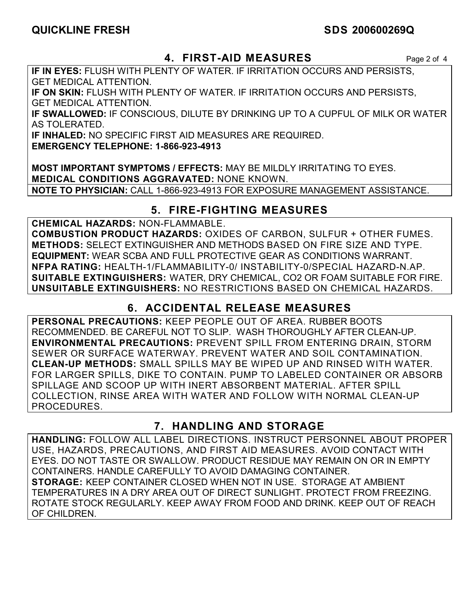# **QUICKLINE FRESH SDS 200600269Q**

### **4. FIRST-AID MEASURES** Page 2 of 4

**IF IN EYES:** FLUSH WITH PLENTY OF WATER. IF IRRITATION OCCURS AND PERSISTS, GET MEDICAL ATTENTION.

**IF ON SKIN:** FLUSH WITH PLENTY OF WATER. IF IRRITATION OCCURS AND PERSISTS, GET MEDICAL ATTENTION.

**IF SWALLOWED:** IF CONSCIOUS, DILUTE BY DRINKING UP TO A CUPFUL OF MILK OR WATER AS TOLERATED.

**IF INHALED:** NO SPECIFIC FIRST AID MEASURES ARE REQUIRED.

**EMERGENCY TELEPHONE: 1-866-923-4913** 

**MOST IMPORTANT SYMPTOMS / EFFECTS:** MAY BE MILDLY IRRITATING TO EYES. **MEDICAL CONDITIONS AGGRAVATED:** NONE KNOWN. **NOTE TO PHYSICIAN:** CALL 1-866-923-4913 FOR EXPOSURE MANAGEMENT ASSISTANCE.

# **5. FIRE-FIGHTING MEASURES**

**CHEMICAL HAZARDS:** NON-FLAMMABLE.

**COMBUSTION PRODUCT HAZARDS:** OXIDES OF CARBON, SULFUR + OTHER FUMES. **METHODS:** SELECT EXTINGUISHER AND METHODS BASED ON FIRE SIZE AND TYPE. **EQUIPMENT:** WEAR SCBA AND FULL PROTECTIVE GEAR AS CONDITIONS WARRANT. **NFPA RATING:** HEALTH-1/FLAMMABILITY-0/ INSTABILITY-0/SPECIAL HAZARD-N.AP. **SUITABLE EXTINGUISHERS:** WATER, DRY CHEMICAL, CO2 OR FOAM SUITABLE FOR FIRE. **UNSUITABLE EXTINGUISHERS:** NO RESTRICTIONS BASED ON CHEMICAL HAZARDS.

# **6. ACCIDENTAL RELEASE MEASURES**

**PERSONAL PRECAUTIONS:** KEEP PEOPLE OUT OF AREA. RUBBER BOOTS RECOMMENDED. BE CAREFUL NOT TO SLIP. WASH THOROUGHLY AFTER CLEAN-UP. **ENVIRONMENTAL PRECAUTIONS:** PREVENT SPILL FROM ENTERING DRAIN, STORM SEWER OR SURFACE WATERWAY. PREVENT WATER AND SOIL CONTAMINATION. **CLEAN-UP METHODS:** SMALL SPILLS MAY BE WIPED UP AND RINSED WITH WATER. FOR LARGER SPILLS, DIKE TO CONTAIN. PUMP TO LABELED CONTAINER OR ABSORB SPILLAGE AND SCOOP UP WITH INERT ABSORBENT MATERIAL. AFTER SPILL COLLECTION, RINSE AREA WITH WATER AND FOLLOW WITH NORMAL CLEAN-UP PROCEDURES.

# **7. HANDLING AND STORAGE**

**HANDLING:** FOLLOW ALL LABEL DIRECTIONS. INSTRUCT PERSONNEL ABOUT PROPER USE, HAZARDS, PRECAUTIONS, AND FIRST AID MEASURES. AVOID CONTACT WITH EYES. DO NOT TASTE OR SWALLOW. PRODUCT RESIDUE MAY REMAIN ON OR IN EMPTY CONTAINERS. HANDLE CAREFULLY TO AVOID DAMAGING CONTAINER. **STORAGE:** KEEP CONTAINER CLOSED WHEN NOT IN USE. STORAGE AT AMBIENT TEMPERATURES IN A DRY AREA OUT OF DIRECT SUNLIGHT. PROTECT FROM FREEZING. ROTATE STOCK REGULARLY. KEEP AWAY FROM FOOD AND DRINK. KEEP OUT OF REACH OF CHILDREN.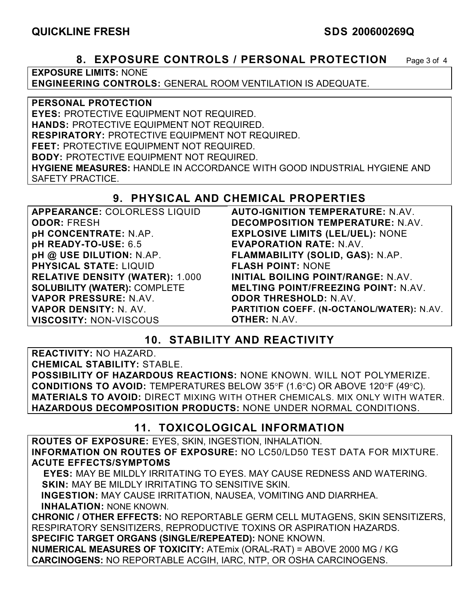#### **8. EXPOSURE CONTROLS / PERSONAL PROTECTION** Page 3 of 4

**EXPOSURE LIMITS:** NONE

**ENGINEERING CONTROLS:** GENERAL ROOM VENTILATION IS ADEQUATE.

**PERSONAL PROTECTION** 

**EYES:** PROTECTIVE EQUIPMENT NOT REQUIRED.

**HANDS:** PROTECTIVE EQUIPMENT NOT REQUIRED.

**RESPIRATORY:** PROTECTIVE EQUIPMENT NOT REQUIRED.

**FEET:** PROTECTIVE EQUIPMENT NOT REQUIRED.

**BODY:** PROTECTIVE EQUIPMENT NOT REQUIRED.

**HYGIENE MEASURES:** HANDLE IN ACCORDANCE WITH GOOD INDUSTRIAL HYGIENE AND SAFETY PRACTICE.

# **9. PHYSICAL AND CHEMICAL PROPERTIES**

| APPEARANCE: COLORLESS LIQUID           | <b>AUTO-IGNITION TEMPERATURE: N.AV.</b>    |
|----------------------------------------|--------------------------------------------|
| <b>ODOR: FRESH</b>                     | DECOMPOSITION TEMPERATURE: N.AV.           |
| pH CONCENTRATE: N.AP.                  | <b>EXPLOSIVE LIMITS (LEL/UEL): NONE</b>    |
| pH READY-TO-USE: 6.5                   | <b>EVAPORATION RATE: N.AV.</b>             |
| pH @ USE DILUTION: N.AP.               | FLAMMABILITY (SOLID, GAS): N.AP.           |
| <b>PHYSICAL STATE: LIQUID</b>          | <b>FLASH POINT: NONE</b>                   |
| <b>RELATIVE DENSITY (WATER): 1.000</b> | INITIAL BOILING POINT/RANGE: N.AV.         |
| <b>SOLUBILITY (WATER): COMPLETE</b>    | <b>MELTING POINT/FREEZING POINT: N.AV.</b> |
| VAPOR PRESSURE: N.AV.                  | <b>ODOR THRESHOLD: N.AV.</b>               |
| <b>VAPOR DENSITY: N. AV.</b>           | PARTITION COEFF. (N-OCTANOL/WATER): N.AV.  |
| <b>VISCOSITY: NON-VISCOUS</b>          | <b>OTHER: N.AV.</b>                        |

# **10. STABILITY AND REACTIVITY**

**REACTIVITY:** NO HAZARD.

**CHEMICAL STABILITY:** STABLE.

**POSSIBILITY OF HAZARDOUS REACTIONS:** NONE KNOWN. WILL NOT POLYMERIZE. **CONDITIONS TO AVOID:** TEMPERATURES BELOW 35°F (1.6°C) OR ABOVE 120°F (49°C). **MATERIALS TO AVOID:** DIRECT MIXING WITH OTHER CHEMICALS. MIX ONLY WITH WATER. **HAZARDOUS DECOMPOSITION PRODUCTS:** NONE UNDER NORMAL CONDITIONS.

# **11. TOXICOLOGICAL INFORMATION**

**ROUTES OF EXPOSURE:** EYES, SKIN, INGESTION, INHALATION. **INFORMATION ON ROUTES OF EXPOSURE:** NO LC50/LD50 TEST DATA FOR MIXTURE. **ACUTE EFFECTS/SYMPTOMS**

 **EYES:** MAY BE MILDLY IRRITATING TO EYES. MAY CAUSE REDNESS AND WATERING. **SKIN:** MAY BE MILDLY IRRITATING TO SENSITIVE SKIN.

 **INGESTION:** MAY CAUSE IRRITATION, NAUSEA, VOMITING AND DIARRHEA. **INHALATION:** NONE KNOWN.

**CHRONIC / OTHER EFFECTS:** NO REPORTABLE GERM CELL MUTAGENS, SKIN SENSITIZERS, RESPIRATORY SENSITIZERS, REPRODUCTIVE TOXINS OR ASPIRATION HAZARDS. **SPECIFIC TARGET ORGANS (SINGLE/REPEATED):** NONE KNOWN.

**NUMERICAL MEASURES OF TOXICITY:** ATEmix (ORAL-RAT) = ABOVE 2000 MG / KG **CARCINOGENS:** NO REPORTABLE ACGIH, IARC, NTP, OR OSHA CARCINOGENS.